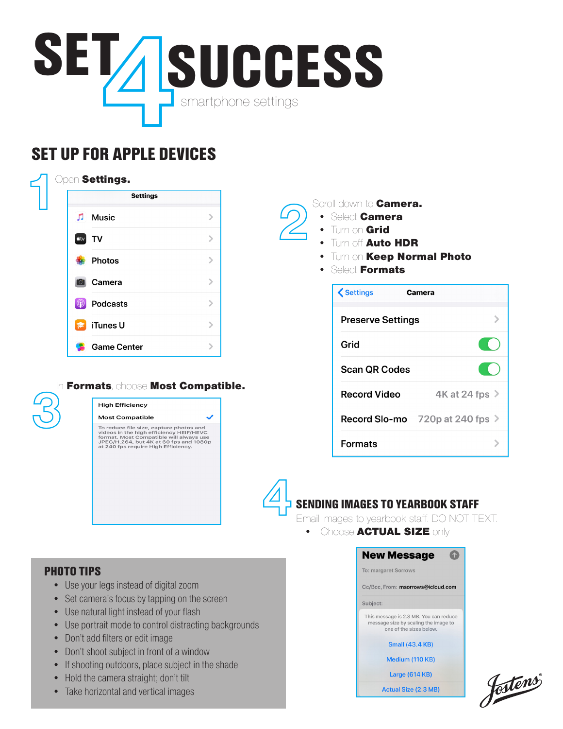

# SET UP FOR APPLE DEVICES

|             | <b>Settings</b>    |               |  |
|-------------|--------------------|---------------|--|
| Л           | <b>Music</b>       | $\mathcal{P}$ |  |
| <b>u</b> tv | TV                 | $\geq$        |  |
|             | <b>Photos</b>      | $\mathcal{P}$ |  |
|             | Camera             | $\mathcal{P}$ |  |
|             | <b>Podcasts</b>    | $\mathcal{P}$ |  |
|             | iTunes U           | $\mathcal{P}$ |  |
|             | <b>Game Center</b> | $\mathcal{P}$ |  |



## In Formats, choose Most Compatible.

**High Efficiency** 

# **Most Compatible** To reduce file size, capture photos and<br>videos in the high efficiency HEIF/HEVC<br>format. Most Compatible will always use<br>JPEG/H.264, but 4K at 60 fps and 1080p<br>at 240 fps require High Efficiency.

### Scroll down to **Camera.**

- Select Camera
	- Turn on Grid
	- Turn off Auto HDR
	- Turn on Keep Normal Photo
	- Select Formats

| <b>くSettings</b>         | Camera                          |  |  |  |
|--------------------------|---------------------------------|--|--|--|
| <b>Preserve Settings</b> |                                 |  |  |  |
| Grid                     |                                 |  |  |  |
| <b>Scan QR Codes</b>     |                                 |  |  |  |
| <b>Record Video</b>      | 4K at 24 fps >                  |  |  |  |
|                          | Record Slo-mo 720p at 240 fps > |  |  |  |
| Formats                  |                                 |  |  |  |

# SENDING IMAGES TO YEARBOOK STAFF 4

Email images to yearbook staff. DO NOT TEXT.

**New Message** 

• Choose ACTUAL SIZE only

### PHOTO TIPS

- Use your legs instead of digital zoom
- Set camera's focus by tapping on the screen
- Use natural light instead of your flash
- Use portrait mode to control distracting backgrounds
- Don't add filters or edit image
- Don't shoot subject in front of a window
- If shooting outdoors, place subject in the shade
- Hold the camera straight; don't tilt
- Take horizontal and vertical images

To: margaret Sorrows Cc/Bcc. From: msorrows@icloud.com Subiect: This message is 2.3 MB. You can reduce<br>message size by scaling the image to one of the sizes below. **Small (43.4 KB)** Medium (110 KB) **Large (614 KB)** 

**Actual Size (2.3 MB)** 

4

fostens